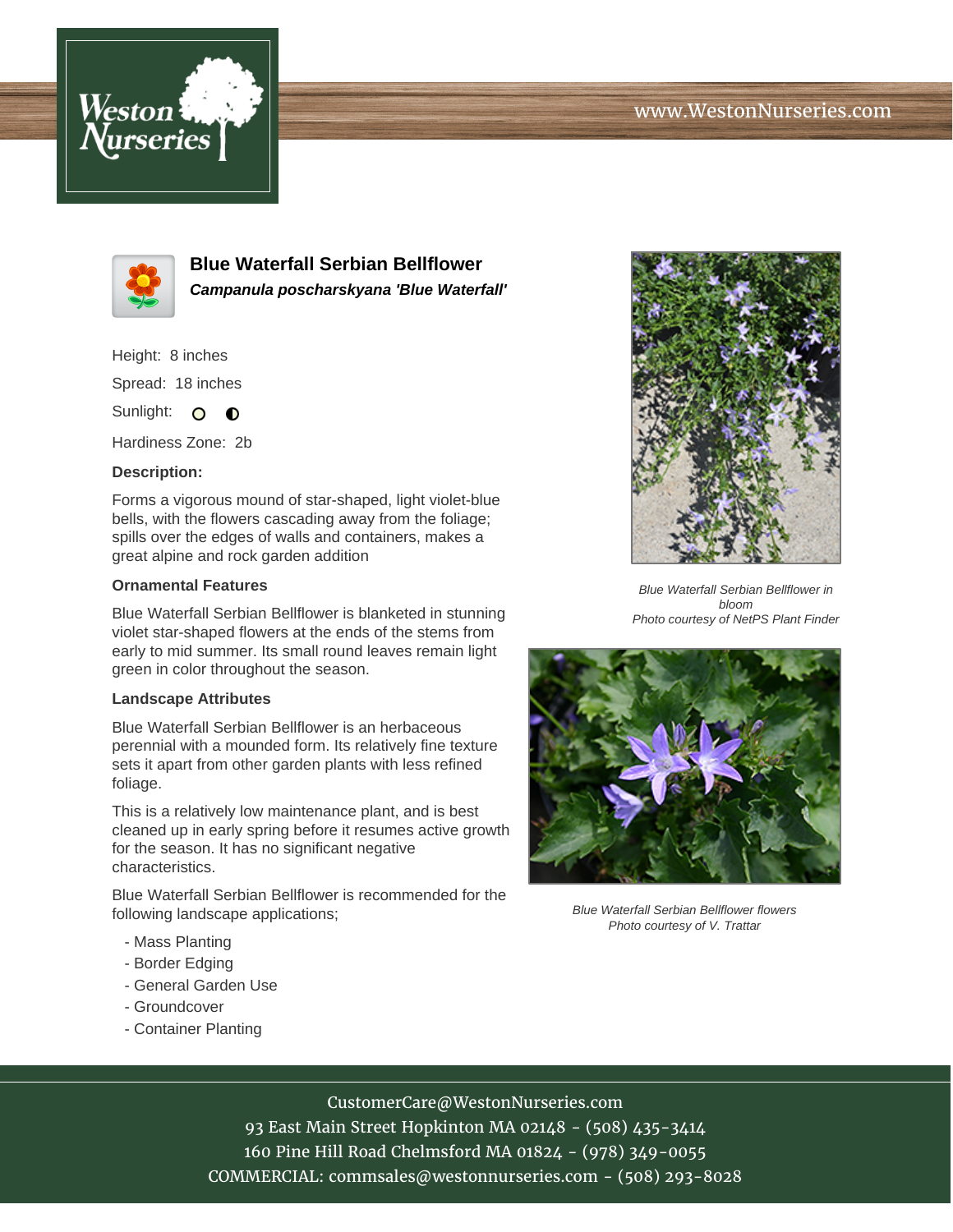



**Blue Waterfall Serbian Bellflower Campanula poscharskyana 'Blue Waterfall'**

Height: 8 inches

Spread: 18 inches

Sunlight: O **O** 

Hardiness Zone: 2b

### **Description:**

Forms a vigorous mound of star-shaped, light violet-blue bells, with the flowers cascading away from the foliage; spills over the edges of walls and containers, makes a great alpine and rock garden addition

#### **Ornamental Features**

Blue Waterfall Serbian Bellflower is blanketed in stunning violet star-shaped flowers at the ends of the stems from early to mid summer. Its small round leaves remain light green in color throughout the season.

#### **Landscape Attributes**

Blue Waterfall Serbian Bellflower is an herbaceous perennial with a mounded form. Its relatively fine texture sets it apart from other garden plants with less refined foliage.

This is a relatively low maintenance plant, and is best cleaned up in early spring before it resumes active growth for the season. It has no significant negative characteristics.

Blue Waterfall Serbian Bellflower is recommended for the following landscape applications;

- Mass Planting
- Border Edging
- General Garden Use
- Groundcover
- Container Planting



Blue Waterfall Serbian Bellflower in bloom Photo courtesy of NetPS Plant Finder



Blue Waterfall Serbian Bellflower flowers Photo courtesy of V. Trattar

# CustomerCare@WestonNurseries.com

93 East Main Street Hopkinton MA 02148 - (508) 435-3414 160 Pine Hill Road Chelmsford MA 01824 - (978) 349-0055 COMMERCIAL: commsales@westonnurseries.com - (508) 293-8028